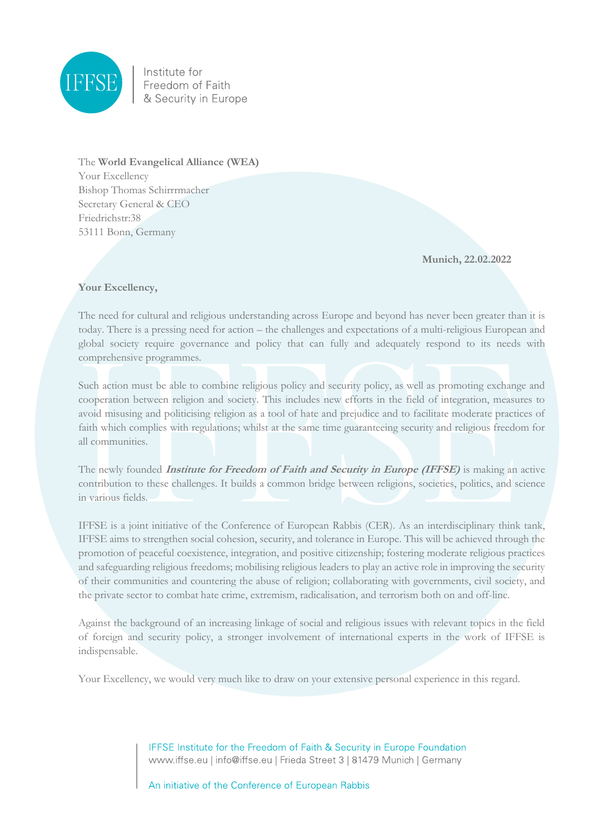

Institute for<br>Freedom of Faith & Security in Europe

The **World Evangelical Alliance (WEA)** Your Excellency Bishop Thomas Schirrrmacher Secretary General & CEO Friedrichstr:38 53111 Bonn, Germany

**Munich, 22.02.2022**

## **Your Excellency,**

The need for cultural and religious understanding across Europe and beyond has never been greater than it is today. There is a pressing need for action – the challenges and expectations of a multi-religious European and global society require governance and policy that can fully and adequately respond to its needs with comprehensive programmes.

Such action must be able to combine religious policy and security policy, as well as promoting exchange and cooperation between religion and society. This includes new efforts in the field of integration, measures to avoid misusing and politicising religion as a tool of hate and prejudice and to facilitate moderate practices of faith which complies with regulations; whilst at the same time guaranteeing security and religious freedom for all communities.

The newly founded **Institute for Freedom of Faith and Security in Europe (IFFSE)** is making an active contribution to these challenges. It builds a common bridge between religions, societies, politics, and science in various fields.

IFFSE is a joint initiative of the Conference of European Rabbis (CER). As an interdisciplinary think tank, IFFSE aims to strengthen social cohesion, security, and tolerance in Europe. This will be achieved through the promotion of peaceful coexistence, integration, and positive citizenship; fostering moderate religious practices and safeguarding religious freedoms; mobilising religious leaders to play an active role in improving the security of their communities and countering the abuse of religion; collaborating with governments, civil society, and the private sector to combat hate crime, extremism, radicalisation, and terrorism both on and off-line.

Against the background of an increasing linkage of social and religious issues with relevant topics in the field of foreign and security policy, a stronger involvement of international experts in the work of IFFSE is indispensable.

Your Excellency, we would very much like to draw on your extensive personal experience in this regard.

IFFSE Institute for the Freedom of Faith & Security in Europe Foundation www.iffse.eu | info@iffse.eu | Frieda Street 3 | 81479 Munich | Germany

An initiative of the Conference of European Rabbis